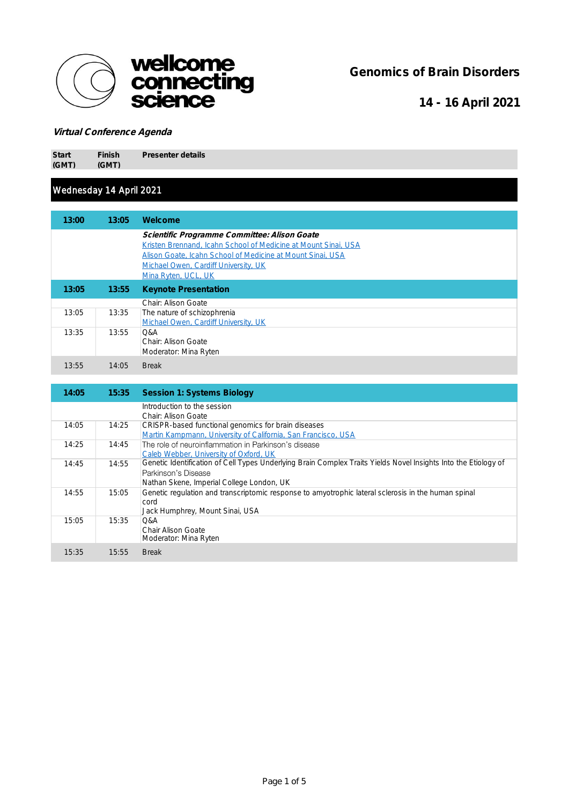

Genomics of Brain Disorders

14 - 16 April 2021

#### Virtual Conference Agenda

Start (GMT) Finish (GMT)

Presenter details

#### Wednesday 14 April 2021

| 13:00 | 13:05 | Welcome                                                                                                                                                                                                                                     |
|-------|-------|---------------------------------------------------------------------------------------------------------------------------------------------------------------------------------------------------------------------------------------------|
|       |       | Scientific Programme Committee: Alison Goate<br>Kristen Brennand, Icahn School of Medicine at Mount Sinai, USA<br>Alison Goate, Icahn School of Medicine at Mount Sinai, USA<br>Michael Owen, Cardiff University, UK<br>Mina Ryten, UCL, UK |
| 13:05 | 13:55 | <b>Keynote Presentation</b>                                                                                                                                                                                                                 |
|       |       | Chair: Alison Goate                                                                                                                                                                                                                         |
| 13:05 | 13:35 | The nature of schizophrenia<br>Michael Owen, Cardiff University, UK                                                                                                                                                                         |
| 13:35 | 13:55 | Q&A<br>Chair: Alison Goate<br>Moderator: Mina Ryten                                                                                                                                                                                         |
| 13:55 | 14:05 | <b>Break</b>                                                                                                                                                                                                                                |

| 14:05 | 15:35 | Session 1: Systems Biology                                                                                      |
|-------|-------|-----------------------------------------------------------------------------------------------------------------|
|       |       | Introduction to the session                                                                                     |
|       |       | Chair: Alison Goate                                                                                             |
| 14:05 | 14:25 | CRISPR-based functional genomics for brain diseases                                                             |
|       |       | Martin Kampmann, University of California, San Francisco, USA                                                   |
| 14:25 | 14:45 | The role of neuroinflammation in Parkinson's disease                                                            |
|       |       | Caleb Webber, University of Oxford, UK                                                                          |
| 14:45 | 14:55 | Genetic Identification of Cell Types Underlying Brain Complex Traits Yields Novel Insights Into the Etiology of |
|       |       | Parkinson's Disease                                                                                             |
|       |       | Nathan Skene, Imperial College London, UK                                                                       |
| 14:55 | 15:05 | Genetic regulation and transcriptomic response to amyotrophic lateral sclerosis in the human spinal             |
|       |       | cord                                                                                                            |
|       |       | Jack Humphrey, Mount Sinai, USA                                                                                 |
| 15:05 | 15:35 | <b>O&amp;A</b>                                                                                                  |
|       |       | Chair Alison Goate                                                                                              |
|       |       | Moderator: Mina Ryten                                                                                           |
| 15:35 | 15:55 | <b>Break</b>                                                                                                    |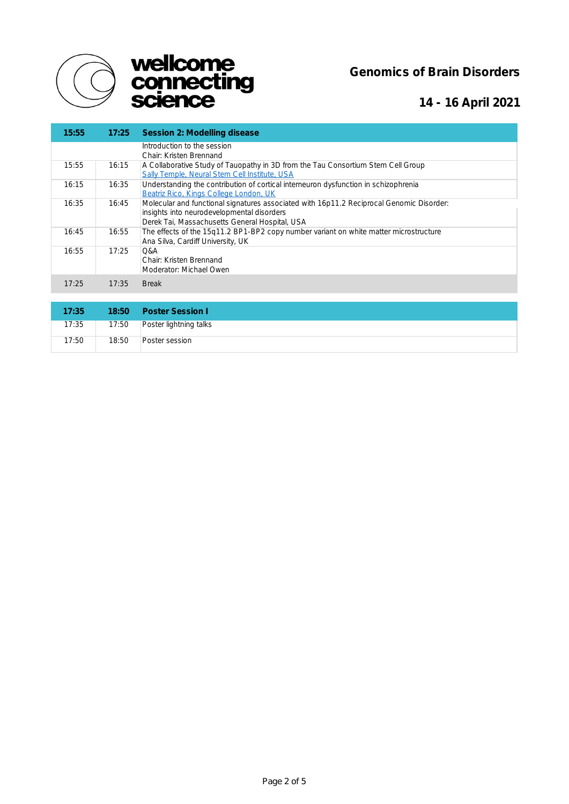



# 14 - 16 April 2021

| 15:55 | 17:25 | Session 2: Modelling disease                                                                                                                                                             |
|-------|-------|------------------------------------------------------------------------------------------------------------------------------------------------------------------------------------------|
|       |       | Introduction to the session<br>Chair: Kristen Brennand                                                                                                                                   |
| 15:55 | 16:15 | A Collaborative Study of Tauopathy in 3D from the Tau Consortium Stem Cell Group<br>Sally Temple, Neural Stem Cell Institute, USA                                                        |
| 16:15 | 16:35 | Understanding the contribution of cortical interneuron dysfunction in schizophrenia<br>Beatriz Rico, Kings College London, UK                                                            |
| 16:35 | 16:45 | Molecular and functional signatures associated with 16p11.2 Reciprocal Genomic Disorder:<br>insights into neurodevelopmental disorders<br>Derek Tai, Massachusetts General Hospital, USA |
| 16:45 | 16:55 | The effects of the 15q11.2 BP1-BP2 copy number variant on white matter microstructure<br>Ana Silva, Cardiff University, UK                                                               |
| 16:55 | 17:25 | <b>O&amp;A</b><br>Chair: Kristen Brennand<br>Moderator: Michael Owen                                                                                                                     |
| 17:25 | 17:35 | <b>Break</b>                                                                                                                                                                             |
|       |       |                                                                                                                                                                                          |
| 17:35 | 18:50 | Poster Session I                                                                                                                                                                         |
| 17:35 | 17:50 | Poster lightning talks                                                                                                                                                                   |
| 17:50 | 18:50 | Poster session                                                                                                                                                                           |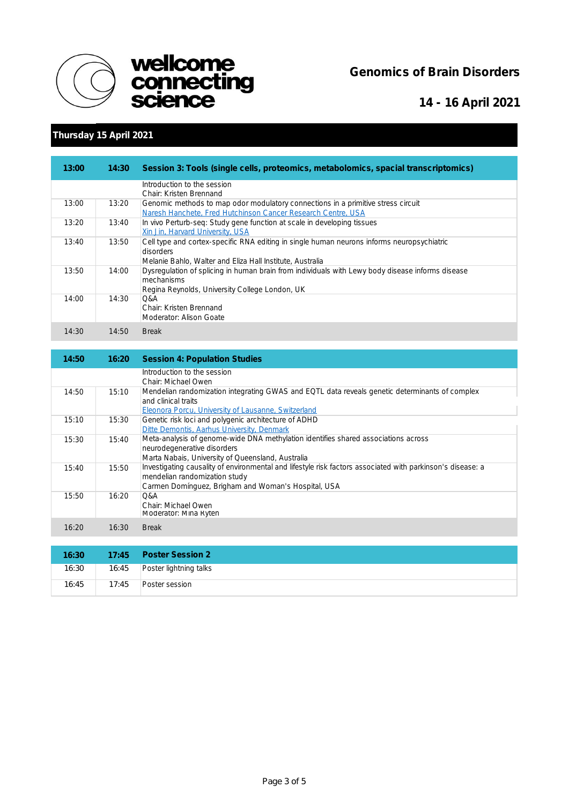



14 - 16 April 2021

### Thursday 15 April 2021

| 13:00 | 14:30 | Session 3: Tools (single cells, proteomics, metabolomics, spacial transcriptomics)                                                                                   |
|-------|-------|----------------------------------------------------------------------------------------------------------------------------------------------------------------------|
|       |       | Introduction to the session<br>Chair: Kristen Brennand                                                                                                               |
| 13:00 | 13:20 | Genomic methods to map odor modulatory connections in a primitive stress circuit<br>Naresh Hanchete, Fred Hutchinson Cancer Research Centre, USA                     |
| 13:20 | 13:40 | In vivo Perturb-seg: Study gene function at scale in developing tissues<br>Xin Jin, Harvard University, USA                                                          |
| 13:40 | 13:50 | Cell type and cortex-specific RNA editing in single human neurons informs neuropsychiatric<br>disorders<br>Melanie Bahlo, Walter and Eliza Hall Institute, Australia |
| 13:50 | 14:00 | Dysregulation of splicing in human brain from individuals with Lewy body disease informs disease<br>mechanisms<br>Regina Reynolds, University College London, UK     |
| 14:00 | 14:30 | O&A<br>Chair: Kristen Brennand<br>Moderator: Alison Goate                                                                                                            |
| 14:30 | 14:50 | <b>Break</b>                                                                                                                                                         |

| 14:50 | 16:20 | Session 4: Population Studies                                                                                                                                                                      |
|-------|-------|----------------------------------------------------------------------------------------------------------------------------------------------------------------------------------------------------|
|       |       | Introduction to the session<br>Chair: Michael Owen                                                                                                                                                 |
| 14:50 | 15:10 | Mendelian randomization integrating GWAS and EQTL data reveals genetic determinants of complex<br>and clinical traits<br><b>Eleonora Porcu, University of Lausanne, Switzerland</b>                |
| 15:10 | 15:30 | Genetic risk loci and polygenic architecture of ADHD<br>Ditte Demontis, Aarhus University, Denmark                                                                                                 |
| 15:30 | 15:40 | Meta-analysis of genome-wide DNA methylation identifies shared associations across<br>neurodegenerative disorders<br>Marta Nabais, University of Queensland, Australia                             |
| 15:40 | 15:50 | Investigating causality of environmental and lifestyle risk factors associated with parkinson's disease: a<br>mendelian randomization study<br>Carmen Domínguez, Brigham and Woman's Hospital, USA |
| 15:50 | 16:20 | <b>O&amp;A</b><br>Chair: Michael Owen<br>Moderator: Mina Ryten                                                                                                                                     |
| 16:20 | 16:30 | <b>Break</b>                                                                                                                                                                                       |

| 16:30 |       | 17:45 Poster Session 2       |
|-------|-------|------------------------------|
| 16:30 |       | 16:45 Poster lightning talks |
| 16:45 | 17:45 | Poster session               |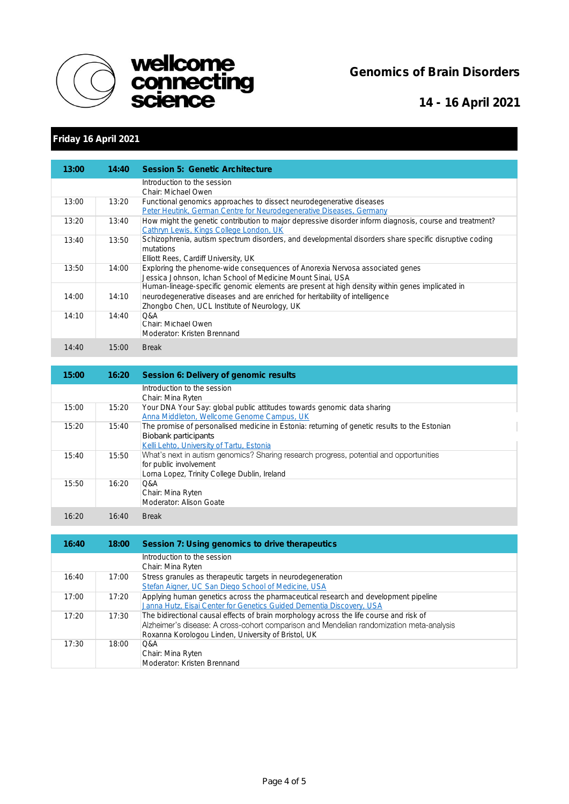



14 - 16 April 2021

# Friday 16 April 2021

| 13:00 | 14:40 | Session 5: Genetic Architecture                                                                         |
|-------|-------|---------------------------------------------------------------------------------------------------------|
|       |       | Introduction to the session                                                                             |
|       |       | Chair: Michael Owen                                                                                     |
| 13:00 | 13:20 | Functional genomics approaches to dissect neurodegenerative diseases                                    |
|       |       | Peter Heutink, German Centre for Neurodegenerative Diseases, Germany                                    |
| 13:20 | 13:40 | How might the genetic contribution to major depressive disorder inform diagnosis, course and treatment? |
|       |       | Cathryn Lewis, Kings College London, UK                                                                 |
| 13:40 | 13:50 | Schizophrenia, autism spectrum disorders, and developmental disorders share specific disruptive coding  |
|       |       | mutations                                                                                               |
|       |       | Elliott Rees, Cardiff University, UK                                                                    |
| 13:50 | 14:00 | Exploring the phenome-wide consequences of Anorexia Nervosa associated genes                            |
|       |       | Jessica Johnson, Ichan School of Medicine Mount Sinai, USA                                              |
|       |       | Human-lineage-specific genomic elements are present at high density within genes implicated in          |
| 14:00 | 14:10 | neurodegenerative diseases and are enriched for heritability of intelligence                            |
|       |       | Zhongbo Chen, UCL Institute of Neurology, UK                                                            |
| 14:10 | 14:40 | O&A                                                                                                     |
|       |       | Chair: Michael Owen                                                                                     |
|       |       | Moderator: Kristen Brennand                                                                             |
| 14:40 | 15:00 | <b>Break</b>                                                                                            |

| 15:00 | 16:20 | Session 6: Delivery of genomic results                                                        |
|-------|-------|-----------------------------------------------------------------------------------------------|
|       |       | Introduction to the session                                                                   |
|       |       | Chair: Mina Ryten                                                                             |
| 15:00 | 15:20 | Your DNA Your Say: global public attitudes towards genomic data sharing                       |
|       |       | Anna Middleton, Wellcome Genome Campus, UK                                                    |
| 15:20 | 15:40 | The promise of personalised medicine in Estonia: returning of genetic results to the Estonian |
|       |       | Biobank participants                                                                          |
|       |       | Kelli Lehto, University of Tartu, Estonia                                                     |
| 15:40 | 15:50 | What's next in autism genomics? Sharing research progress, potential and opportunities        |
|       |       | for public involvement                                                                        |
|       |       | Lorna Lopez, Trinity College Dublin, Ireland                                                  |
| 15:50 | 16:20 | O&A                                                                                           |
|       |       | Chair: Mina Ryten                                                                             |
|       |       | Moderator: Alison Goate                                                                       |
| 16:20 | 16:40 | <b>Break</b>                                                                                  |

| 16:40 | 18:00 | Session 7: Using genomics to drive therapeutics                                          |
|-------|-------|------------------------------------------------------------------------------------------|
|       |       | Introduction to the session<br>Chair: Mina Ryten                                         |
| 16:40 | 17:00 | Stress granules as therapeutic targets in neurodegeneration                              |
|       |       | Stefan Aigner, UC San Diego School of Medicine, USA                                      |
| 17:00 | 17:20 | Applying human genetics across the pharmaceutical research and development pipeline      |
|       |       | Janna Hutz, Eisai Center for Genetics Guided Dementia Discovery, USA                     |
| 17.20 | 17:30 | The bidirectional causal effects of brain morphology across the life course and risk of  |
|       |       | Alzheimer's disease: A cross-cohort comparison and Mendelian randomization meta-analysis |
|       |       | Roxanna Korologou Linden, University of Bristol, UK                                      |
| 17.30 | 18:00 | O&A                                                                                      |
|       |       | Chair: Mina Ryten                                                                        |
|       |       | Moderator: Kristen Brennand                                                              |